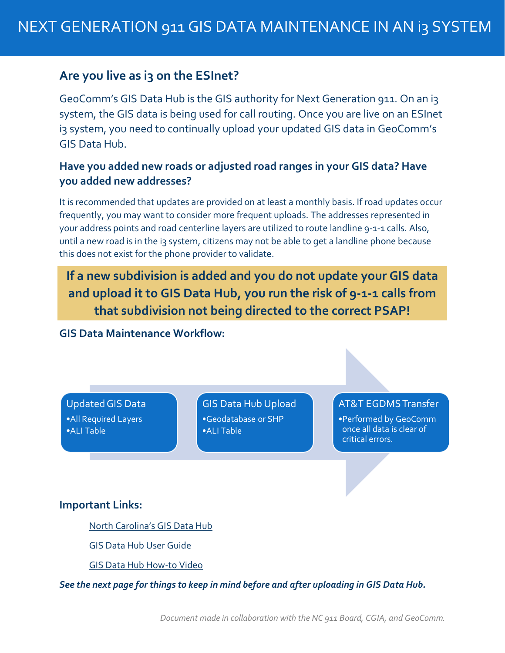## **Are you live as i3 on the ESInet?**

GeoComm's GIS Data Hub is the GIS authority for Next Generation 911. On an i3 system, the GIS data is being used for call routing. Once you are live on an ESInet i3 system, you need to continually upload your updated GIS data in GeoComm's GIS Data Hub.

### **Have you added new roads or adjusted road ranges in your GIS data? Have you added new addresses?**

It is recommended that updates are provided on at least a monthly basis. If road updates occur frequently, you may want to consider more frequent uploads. The addresses represented in your address points and road centerline layers are utilized to route landline 9-1-1 calls. Also, until a new road is in the i3 system, citizens may not be able to get a landline phone because this does not exist for the phone provider to validate.

**If a new subdivision is added and you do not update your GIS data and upload it to GIS Data Hub, you run the risk of 9-1-1 calls from that subdivision not being directed to the correct PSAP!**

**GIS Data Maintenance Workflow:**

## Updated GIS Data

•All Required Layers •ALI Table

GIS Data Hub Upload •Geodatabase or SHP •ALI Table

#### AT&T EGDMS Transfer

•Performed by GeoComm once all data is clear of critical errors.

#### **Important Links:**

[North Carolina's GIS Data Hub](https://gdh.sonc.nc.geo-comm.com/GMS_API/)

[GIS Data Hub User](https://files.nc.gov/ncdit/documents/files/NG911-NC-GISDataHub-User-Guide.pdf) Guide

[GIS Data Hub How-to Video](https://files.nc.gov/ncdit/videos/NC-NG911-GIS-Data-Hub-Training.mp4)

*See the next page for things to keep in mind before and after uploading in GIS Data Hub.*

*Document made in collaboration with the NC 911 Board, CGIA, and GeoComm.*